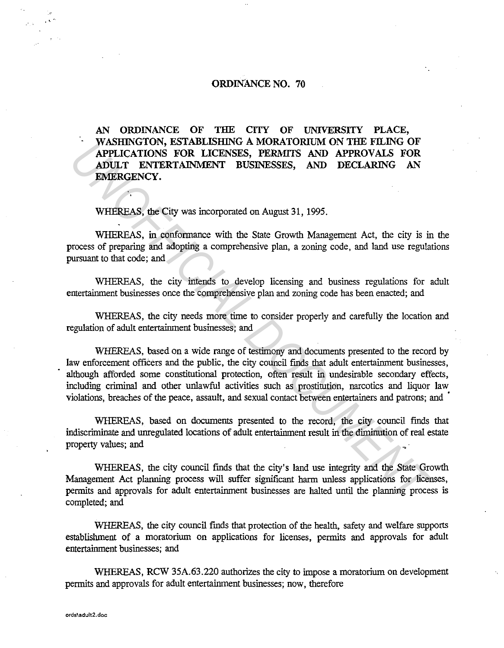## ORDINANCE NO. 70

AN ORDINANCE OF THE CITY OF UNIVERSITY PLACE, WASHINGTON, ESTABLISHING A MORATORIUM ON TIIE FILING OF APPLICATIONS FOR LICENSES, PERMITS AND APPROVALS FOR ADULT ENTERTAINMENT BUSINESSES, AND DECLARING AN EMERGENCY.

WHEREAS, the City was incorporated on August 31, 1995.

WHEREAS, in conformance with the State Growth Management Act, the city is in the process of preparing and adopting a comprehensive plan, a zoning code, and land use regulations pursuant to that code; and

WHEREAS, the city intends to develop licensing and business regulations for adult entertainment businesses once the comprehensive plan and zoning code has been enacted; and

WHEREAS, the city needs more time to consider properly and carefully the location and regulation of adult entertainment businesses; and

WHEREAS, based on a wide range of testimony and documents presented to the record by law enforcement officers and the public, the city council finds that adult entertainment businesses, although afforded some constitutional protection, often result in undesirable secondary effects, including criminal and other unlawful activities such as prostitution, narcotics and liquor Jaw violations, breaches of the peace, assault, and sexual contact between entertainers and patrons; and ' **WASHIM OF A STANDAMORY CONSTANT AND APPLOCATIONS FOR ADDILIT ENTERTAINMENT BUSINESSES, PERMITS AND APPROVALS FOR ADULT ENTERTAINMENT BUSINESSES, AND DECLARING AN EMERGENCY.**<br> **WHEREAS, the City was incorporated on August** 

WHEREAS, based on documents presented to the record, the city council finds that indiscriminate and unregulated locations of adult entertainment result in the diminution of real estate property values; and

WHEREAS, the city council finds that the city's land use integrity and the State Growth Management Act planning process will suffer significant harm unless applications for licenses, permits and approvals for adult entertainment businesses are halted until the planning process is completed; and

WHEREAS, the city council fmds that protection of the health, safety and welfare supports establishment of a moratorium on applications for licenses, permits and approvals for adult entertainment businesses; and

WHEREAS, RCW 35A.63.220 authorizes the city to impose a moratorium on development permits and approvals for adult entertainment businesses; now, therefore

' .